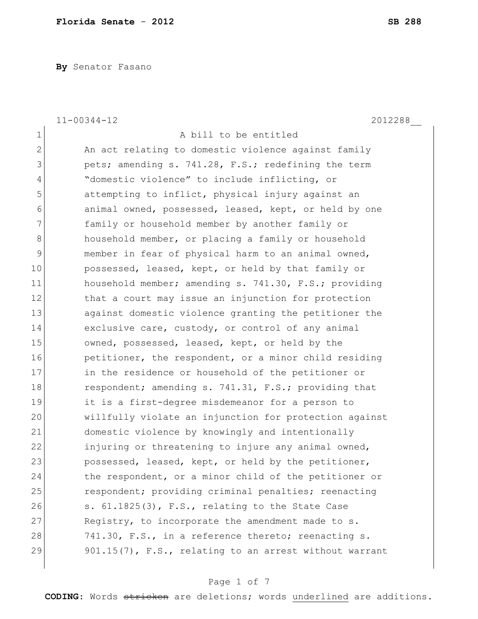**By** Senator Fasano

|              | $11 - 00344 - 12$<br>2012288                           |
|--------------|--------------------------------------------------------|
| $\mathbf 1$  | A bill to be entitled                                  |
| $\mathbf{2}$ | An act relating to domestic violence against family    |
| 3            | pets; amending s. 741.28, F.S.; redefining the term    |
| 4            | "domestic violence" to include inflicting, or          |
| 5            | attempting to inflict, physical injury against an      |
| 6            | animal owned, possessed, leased, kept, or held by one  |
| 7            | family or household member by another family or        |
| 8            | household member, or placing a family or household     |
| 9            | member in fear of physical harm to an animal owned,    |
| 10           | possessed, leased, kept, or held by that family or     |
| 11           | household member; amending s. 741.30, F.S.; providing  |
| 12           | that a court may issue an injunction for protection    |
| 13           | against domestic violence granting the petitioner the  |
| 14           | exclusive care, custody, or control of any animal      |
| 15           | owned, possessed, leased, kept, or held by the         |
| 16           | petitioner, the respondent, or a minor child residing  |
| 17           | in the residence or household of the petitioner or     |
| 18           | respondent; amending s. 741.31, F.S.; providing that   |
| 19           | it is a first-degree misdemeanor for a person to       |
| 20           | willfully violate an injunction for protection against |
| 21           | domestic violence by knowingly and intentionally       |
| 22           | injuring or threatening to injure any animal owned,    |
| 23           | possessed, leased, kept, or held by the petitioner,    |
| 24           | the respondent, or a minor child of the petitioner or  |
| 25           | respondent; providing criminal penalties; reenacting   |
| 26           | s. 61.1825(3), F.S., relating to the State Case        |
| 27           | Registry, to incorporate the amendment made to s.      |
| 28           | 741.30, F.S., in a reference thereto; reenacting s.    |
| 29           | 901.15(7), F.S., relating to an arrest without warrant |

# Page 1 of 7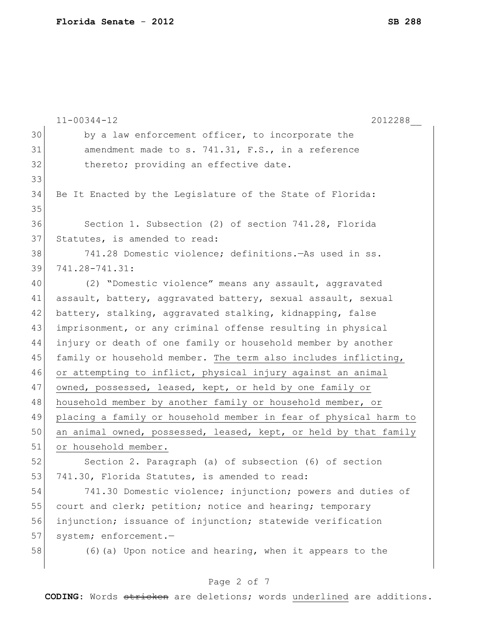|    | $11 - 00344 - 12$<br>2012288                                     |
|----|------------------------------------------------------------------|
| 30 | by a law enforcement officer, to incorporate the                 |
| 31 | amendment made to s. 741.31, F.S., in a reference                |
| 32 | thereto; providing an effective date.                            |
| 33 |                                                                  |
| 34 | Be It Enacted by the Legislature of the State of Florida:        |
| 35 |                                                                  |
| 36 | Section 1. Subsection (2) of section 741.28, Florida             |
| 37 | Statutes, is amended to read:                                    |
| 38 | 741.28 Domestic violence; definitions. - As used in ss.          |
| 39 | 741.28-741.31:                                                   |
| 40 | (2) "Domestic violence" means any assault, aggravated            |
| 41 | assault, battery, aggravated battery, sexual assault, sexual     |
| 42 | battery, stalking, aggravated stalking, kidnapping, false        |
| 43 | imprisonment, or any criminal offense resulting in physical      |
| 44 | injury or death of one family or household member by another     |
| 45 | family or household member. The term also includes inflicting,   |
| 46 | or attempting to inflict, physical injury against an animal      |
| 47 | owned, possessed, leased, kept, or held by one family or         |
| 48 | household member by another family or household member, or       |
| 49 | placing a family or household member in fear of physical harm to |
| 50 | an animal owned, possessed, leased, kept, or held by that family |
| 51 | or household member.                                             |
| 52 | Section 2. Paragraph (a) of subsection (6) of section            |
| 53 | 741.30, Florida Statutes, is amended to read:                    |
| 54 | 741.30 Domestic violence; injunction; powers and duties of       |
| 55 | court and clerk; petition; notice and hearing; temporary         |
| 56 | injunction; issuance of injunction; statewide verification       |
| 57 | system; enforcement.-                                            |
| 58 | (6) (a) Upon notice and hearing, when it appears to the          |

# Page 2 of 7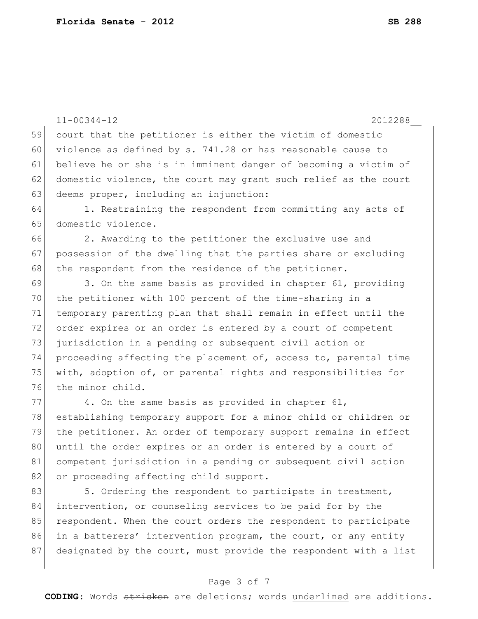76 the minor child.

11-00344-12 2012288\_\_ 59 court that the petitioner is either the victim of domestic 60 violence as defined by s.  $741.28$  or has reasonable cause to 61 believe he or she is in imminent danger of becoming a victim of 62 domestic violence, the court may grant such relief as the court 63 deems proper, including an injunction: 64 1. Restraining the respondent from committing any acts of 65 domestic violence. 66 2. Awarding to the petitioner the exclusive use and 67 possession of the dwelling that the parties share or excluding 68 the respondent from the residence of the petitioner.  $69$  3. On the same basis as provided in chapter 61, providing 70 the petitioner with 100 percent of the time-sharing in a 71 temporary parenting plan that shall remain in effect until the 72 order expires or an order is entered by a court of competent 73 jurisdiction in a pending or subsequent civil action or 74 proceeding affecting the placement of, access to, parental time 75 with, adoption of, or parental rights and responsibilities for

 4. On the same basis as provided in chapter 61, establishing temporary support for a minor child or children or the petitioner. An order of temporary support remains in effect 80 until the order expires or an order is entered by a court of competent jurisdiction in a pending or subsequent civil action 82 or proceeding affecting child support.

83 5. Ordering the respondent to participate in treatment, 84 intervention, or counseling services to be paid for by the 85 respondent. When the court orders the respondent to participate 86 in a batterers' intervention program, the court, or any entity 87 designated by the court, must provide the respondent with a list

### Page 3 of 7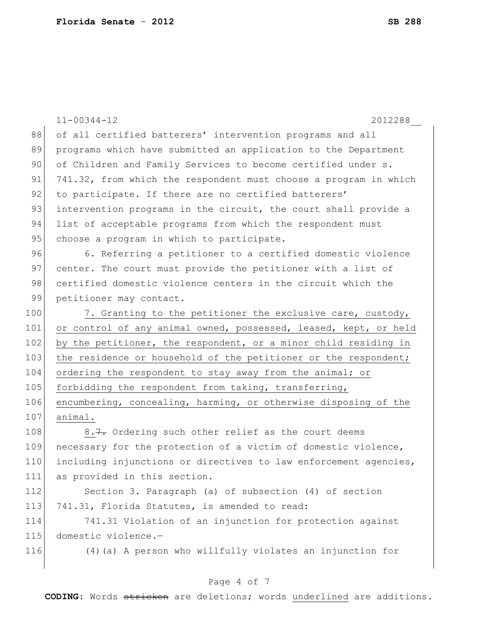|     | $11 - 00344 - 12$<br>2012288                                     |
|-----|------------------------------------------------------------------|
| 88  | of all certified batterers' intervention programs and all        |
| 89  | programs which have submitted an application to the Department   |
| 90  | of Children and Family Services to become certified under s.     |
| 91  | 741.32, from which the respondent must choose a program in which |
| 92  | to participate. If there are no certified batterers'             |
| 93  | intervention programs in the circuit, the court shall provide a  |
| 94  | list of acceptable programs from which the respondent must       |
| 95  | choose a program in which to participate.                        |
| 96  | 6. Referring a petitioner to a certified domestic violence       |
| 97  | center. The court must provide the petitioner with a list of     |
| 98  | certified domestic violence centers in the circuit which the     |
| 99  | petitioner may contact.                                          |
| 100 | 7. Granting to the petitioner the exclusive care, custody,       |
| 101 | or control of any animal owned, possessed, leased, kept, or held |
| 102 | by the petitioner, the respondent, or a minor child residing in  |
| 103 | the residence or household of the petitioner or the respondent;  |
| 104 | ordering the respondent to stay away from the animal; or         |
| 105 | forbidding the respondent from taking, transferring,             |
| 106 | encumbering, concealing, harming, or otherwise disposing of the  |
| 107 | animal.                                                          |
| 108 | 8.7. Ordering such other relief as the court deems               |
| 109 | necessary for the protection of a victim of domestic violence,   |
| 110 | including injunctions or directives to law enforcement agencies, |
| 111 | as provided in this section.                                     |
| 112 | Section 3. Paragraph (a) of subsection (4) of section            |
| 113 | 741.31, Florida Statutes, is amended to read:                    |
| 114 | 741.31 Violation of an injunction for protection against         |
| 115 | domestic violence.-                                              |
| 116 | (4) (a) A person who willfully violates an injunction for        |
|     |                                                                  |

# Page 4 of 7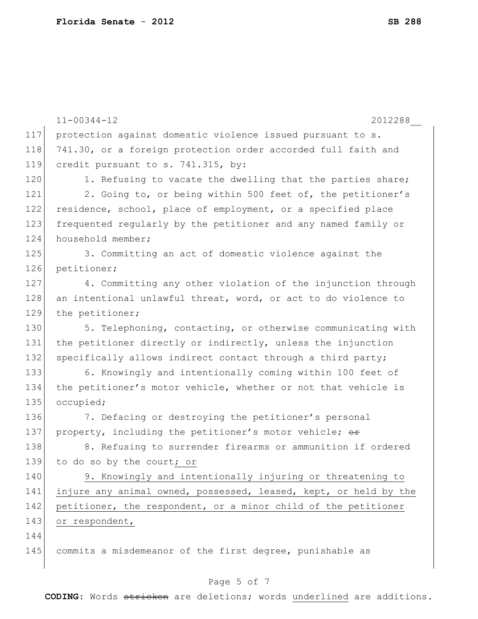|     | $11 - 00344 - 12$<br>2012288                                     |
|-----|------------------------------------------------------------------|
| 117 | protection against domestic violence issued pursuant to s.       |
| 118 | 741.30, or a foreign protection order accorded full faith and    |
| 119 | credit pursuant to s. 741.315, by:                               |
| 120 | 1. Refusing to vacate the dwelling that the parties share;       |
| 121 | 2. Going to, or being within 500 feet of, the petitioner's       |
| 122 | residence, school, place of employment, or a specified place     |
| 123 | frequented regularly by the petitioner and any named family or   |
| 124 | household member;                                                |
| 125 | 3. Committing an act of domestic violence against the            |
| 126 | petitioner;                                                      |
| 127 | 4. Committing any other violation of the injunction through      |
| 128 | an intentional unlawful threat, word, or act to do violence to   |
| 129 | the petitioner;                                                  |
| 130 | 5. Telephoning, contacting, or otherwise communicating with      |
| 131 | the petitioner directly or indirectly, unless the injunction     |
| 132 | specifically allows indirect contact through a third party;      |
| 133 | 6. Knowingly and intentionally coming within 100 feet of         |
| 134 | the petitioner's motor vehicle, whether or not that vehicle is   |
| 135 | occupied;                                                        |
| 136 | 7. Defacing or destroying the petitioner's personal              |
| 137 | property, including the petitioner's motor vehicle; or           |
| 138 | 8. Refusing to surrender firearms or ammunition if ordered       |
| 139 | to do so by the court; or                                        |
| 140 | 9. Knowingly and intentionally injuring or threatening to        |
| 141 | injure any animal owned, possessed, leased, kept, or held by the |
| 142 | petitioner, the respondent, or a minor child of the petitioner   |
| 143 | or respondent,                                                   |
| 144 |                                                                  |
| 145 | commits a misdemeanor of the first degree, punishable as         |
|     |                                                                  |

# Page 5 of 7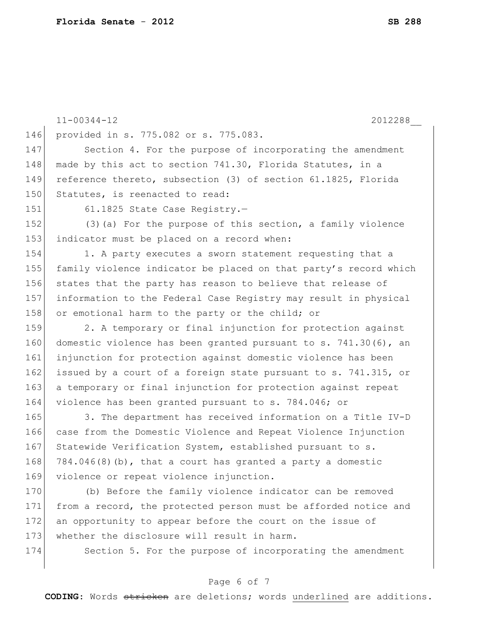|     | $11 - 00344 - 12$<br>2012288                                     |
|-----|------------------------------------------------------------------|
| 146 | provided in s. 775.082 or s. 775.083.                            |
| 147 | Section 4. For the purpose of incorporating the amendment        |
| 148 | made by this act to section 741.30, Florida Statutes, in a       |
| 149 | reference thereto, subsection (3) of section 61.1825, Florida    |
| 150 | Statutes, is reenacted to read:                                  |
| 151 | 61.1825 State Case Registry.-                                    |
| 152 | (3) (a) For the purpose of this section, a family violence       |
| 153 | indicator must be placed on a record when:                       |
| 154 | 1. A party executes a sworn statement requesting that a          |
| 155 | family violence indicator be placed on that party's record which |
| 156 | states that the party has reason to believe that release of      |
| 157 | information to the Federal Case Registry may result in physical  |
| 158 | or emotional harm to the party or the child; or                  |
| 159 | 2. A temporary or final injunction for protection against        |
| 160 | domestic violence has been granted pursuant to s. 741.30(6), an  |
| 161 | injunction for protection against domestic violence has been     |
| 162 | issued by a court of a foreign state pursuant to s. 741.315, or  |
| 163 | a temporary or final injunction for protection against repeat    |
| 164 | violence has been granted pursuant to s. 784.046; or             |
| 165 | 3. The department has received information on a Title IV-D       |
| 166 | case from the Domestic Violence and Repeat Violence Injunction   |
| 167 | Statewide Verification System, established pursuant to s.        |
| 168 | 784.046(8)(b), that a court has granted a party a domestic       |
| 169 | violence or repeat violence injunction.                          |
| 170 | (b) Before the family violence indicator can be removed          |
| 171 | from a record, the protected person must be afforded notice and  |
| 172 | an opportunity to appear before the court on the issue of        |
| 173 | whether the disclosure will result in harm.                      |
| 174 | Section 5. For the purpose of incorporating the amendment        |

# Page 6 of 7